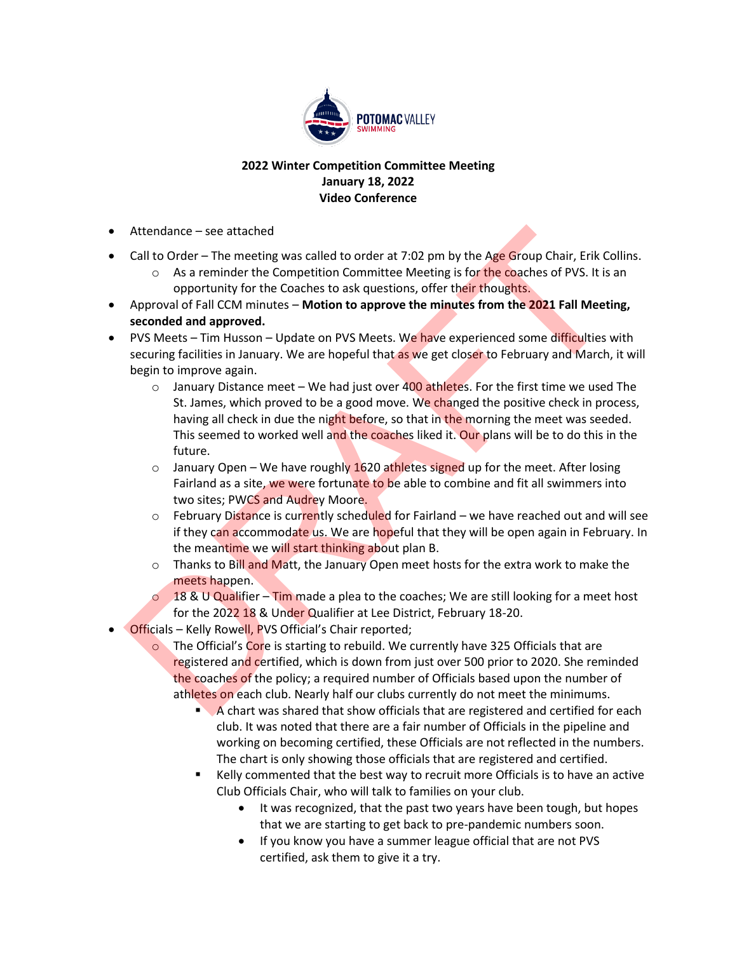

## **2022 Winter Competition Committee Meeting January 18, 2022 Video Conference**

- Attendance see attached
- Call to Order The meeting was called to order at 7:02 pm by the Age Group Chair, Erik Collins.
	- $\circ$  As a reminder the Competition Committee Meeting is for the coaches of PVS. It is an opportunity for the Coaches to ask questions, offer their thoughts.
- Approval of Fall CCM minutes **Motion to approve the minutes from the 2021 Fall Meeting, seconded and approved.**
- PVS Meets Tim Husson Update on PVS Meets. We have experienced some difficulties with securing facilities in January. We are hopeful that as we get closer to February and March, it will begin to improve again.
- $\circ$  January Distance meet We had just over 400 athletes. For the first time we used The St. James, which proved to be a good move. We changed the positive check in process, having all check in due the night before, so that in the morning the meet was seeded. This seemed to worked well and the coaches liked it. Our plans will be to do this in the future. Attendance – see attached<br>
Call to Order at 7:02 pm by the Age Group Chair, Erik Co<br>
Co Order – The meeting was called to order at 7:02 pm by the Age Group Chair, Erik Co<br>
co As a reminder the Competition Committee Meeting
	- $\circ$  January Open We have roughly 1620 athletes signed up for the meet. After losing Fairland as a site, we were fortunate to be able to combine and fit all swimmers into two sites; PWCS and Audrey Moore.
	- $\circ$  February Distance is currently scheduled for Fairland we have reached out and will see if they can accommodate us. We are hopeful that they will be open again in February. In the meantime we will start thinking about plan B.
	- $\circ$  Thanks to Bill and Matt, the January Open meet hosts for the extra work to make the meets happen.
	- $\circ$  18 & U Qualifier Tim made a plea to the coaches; We are still looking for a meet host for the 2022 18 & Under Qualifier at Lee District, February 18-20.
- Officials Kelly Rowell, PVS Official's Chair reported;
	- o The Official's Core is starting to rebuild. We currently have 325 Officials that are registered and certified, which is down from just over 500 prior to 2020. She reminded the coaches of the policy; a required number of Officials based upon the number of athletes on each club. Nearly half our clubs currently do not meet the minimums.
		- **EXA** chart was shared that show officials that are registered and certified for each club. It was noted that there are a fair number of Officials in the pipeline and working on becoming certified, these Officials are not reflected in the numbers. The chart is only showing those officials that are registered and certified.
		- Kelly commented that the best way to recruit more Officials is to have an active Club Officials Chair, who will talk to families on your club.
			- It was recognized, that the past two years have been tough, but hopes that we are starting to get back to pre-pandemic numbers soon.
			- If you know you have a summer league official that are not PVS certified, ask them to give it a try.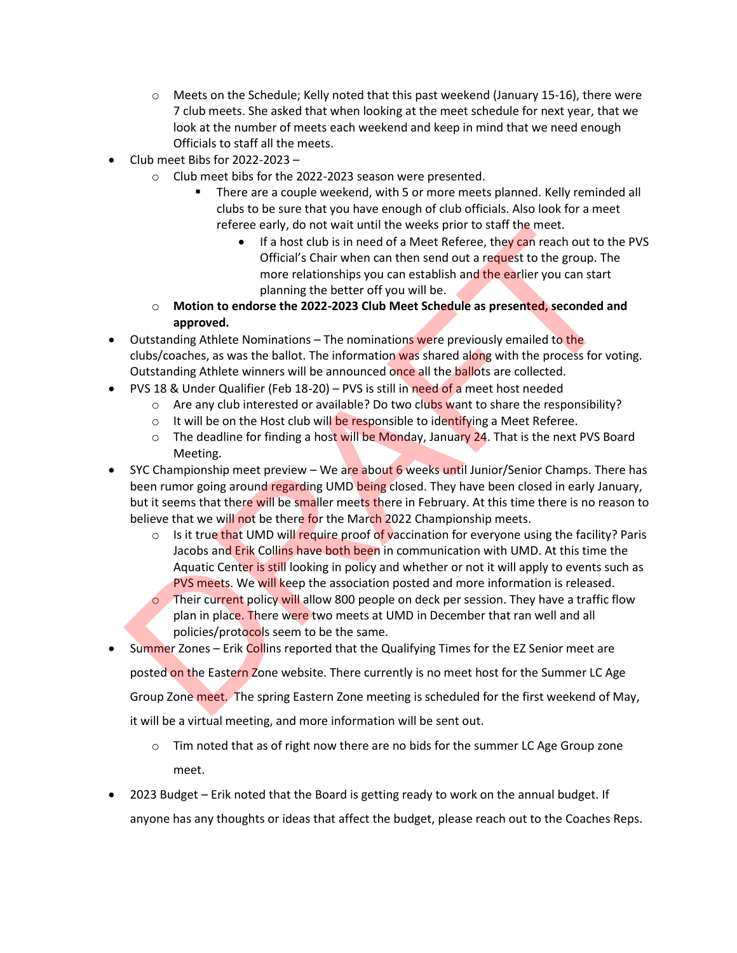- $\circ$  Meets on the Schedule; Kelly noted that this past weekend (January 15-16), there were 7 club meets. She asked that when looking at the meet schedule for next year, that we look at the number of meets each weekend and keep in mind that we need enough Officials to staff all the meets.
- Club meet Bibs for 2022-2023
	- o Club meet bibs for the 2022-2023 season were presented.
		- There are a couple weekend, with 5 or more meets planned. Kelly reminded all clubs to be sure that you have enough of club officials. Also look for a meet referee early, do not wait until the weeks prior to staff the meet.
			- If a host club is in need of a Meet Referee, they can reach out to the PVS Official's Chair when can then send out a request to the group. The more relationships you can establish and the earlier you can start planning the better off you will be.
	- o **Motion to endorse the 2022-2023 Club Meet Schedule as presented, seconded and approved.**
- Outstanding Athlete Nominations The nominations were previously emailed to the clubs/coaches, as was the ballot. The information was shared along with the process for voting. Outstanding Athlete winners will be announced once all the ballots are collected.
- PVS 18 & Under Qualifier (Feb 18-20) PVS is still in need of a meet host needed
	- $\circ$  Are any club interested or available? Do two clubs want to share the responsibility?
	- o It will be on the Host club will be responsible to identifying a Meet Referee.
	- $\circ$  The deadline for finding a host will be Monday, January 24. That is the next PVS Board Meeting.
- SYC Championship meet preview We are about 6 weeks until Junior/Senior Champs. There has been rumor going around regarding UMD being closed. They have been closed in early January, but it seems that there will be smaller meets there in February. At this time there is no reason to believe that we will not be there for the March 2022 Championship meets. Fraction is the two will be the weak plint to the weak plint to the small the same of a Meet Referee, they can reach out to the group. The meridions of the group of the same term of the same term of the carrier of the prop
	- $\circ$  Is it true that UMD will require proof of vaccination for everyone using the facility? Paris Jacobs and Erik Collins have both been in communication with UMD. At this time the Aquatic Center is still looking in policy and whether or not it will apply to events such as PVS meets. We will keep the association posted and more information is released.
	- $\circ$  Their current policy will allow 800 people on deck per session. They have a traffic flow plan in place. There were two meets at UMD in December that ran well and all policies/protocols seem to be the same.
- Summer Zones Erik Collins reported that the Qualifying Times for the EZ Senior meet are

posted on the Eastern Zone website. There currently is no meet host for the Summer LC Age

Group Zone meet. The spring Eastern Zone meeting is scheduled for the first weekend of May,

- it will be a virtual meeting, and more information will be sent out.
	- $\circ$  Tim noted that as of right now there are no bids for the summer LC Age Group zone meet.
- 2023 Budget Erik noted that the Board is getting ready to work on the annual budget. If anyone has any thoughts or ideas that affect the budget, please reach out to the Coaches Reps.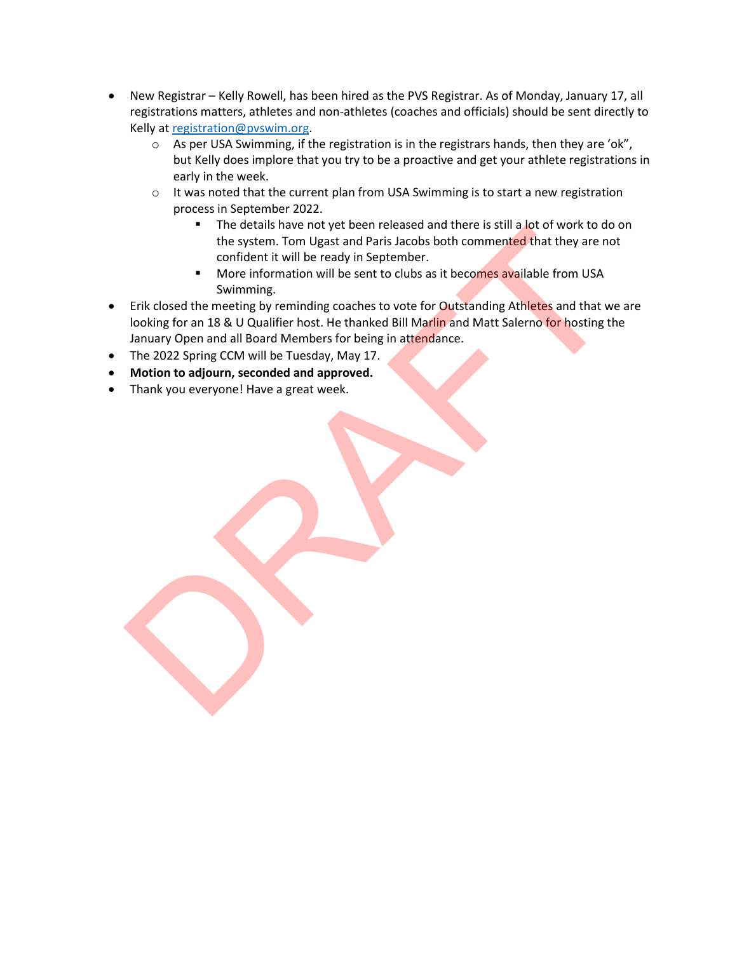- New Registrar Kelly Rowell, has been hired as the PVS Registrar. As of Monday, January 17, all registrations matters, athletes and non-athletes (coaches and officials) should be sent directly to Kelly at [registration@pvswim.org.](mailto:registration@pvswim.org)
	- $\circ$  As per USA Swimming, if the registration is in the registrars hands, then they are 'ok", but Kelly does implore that you try to be a proactive and get your athlete registrations in early in the week.
	- $\circ$  It was noted that the current plan from USA Swimming is to start a new registration process in September 2022.
		- The details have not yet been released and there is still a lot of work to do on the system. Tom Ugast and Paris Jacobs both commented that they are not confident it will be ready in September.
		- More information will be sent to clubs as it becomes available from USA Swimming.
- Erik closed the meeting by reminding coaches to vote for Outstanding Athletes and that we are looking for an 18 & U Qualifier host. He thanked Bill Marlin and Matt Salerno for hosting the January Open and all Board Members for being in attendance. the used and Paris Jacobs both commented that they are not on work to use the system. Tom Ugast and Paris Jacobs both commented that they are not information will be send to use of information will be send to use the formu
- The 2022 Spring CCM will be Tuesday, May 17.
- **Motion to adjourn, seconded and approved.**
- Thank you everyone! Have a great week.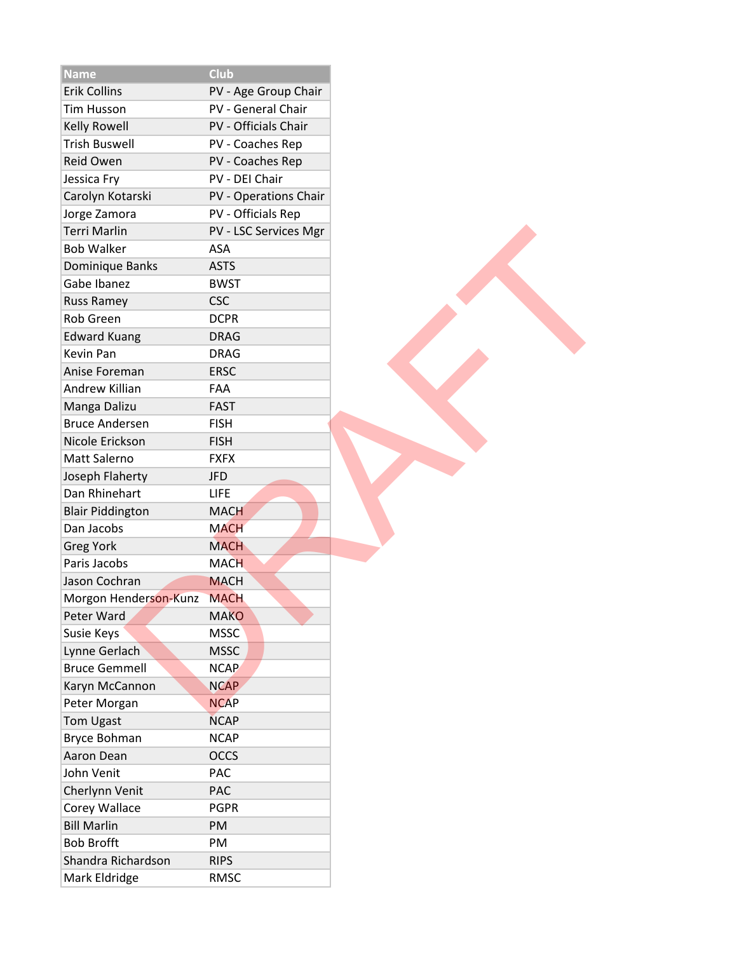| Club                  |
|-----------------------|
| PV - Age Group Chair  |
| PV - General Chair    |
| PV - Officials Chair  |
| PV - Coaches Rep      |
| PV - Coaches Rep      |
| PV - DEI Chair        |
| PV - Operations Chair |
| PV - Officials Rep    |
| PV - LSC Services Mgr |
| ASA                   |
| <b>ASTS</b>           |
| <b>BWST</b>           |
| <b>CSC</b>            |
| <b>DCPR</b>           |
| <b>DRAG</b>           |
| <b>DRAG</b>           |
| <b>ERSC</b>           |
| FAA                   |
| <b>FAST</b>           |
| <b>FISH</b>           |
| <b>FISH</b>           |
|                       |
| <b>FXFX</b>           |
| <b>JFD</b>            |
| <b>LIFE</b>           |
| <b>MACH</b>           |
| <b>MACH</b>           |
| <b>MACH</b>           |
| <b>MACH</b>           |
| <b>MACH</b>           |
| <b>MACH</b>           |
| <b>MAKO</b>           |
| <b>MSSC</b>           |
| <b>MSSC</b>           |
| <b>NCAP</b>           |
| <b>NCAP</b>           |
| <b>NCAP</b>           |
| <b>NCAP</b>           |
| <b>NCAP</b>           |
| <b>OCCS</b>           |
| PAC                   |
| PAC                   |
| <b>PGPR</b>           |
| PM                    |
| PM                    |
| <b>RIPS</b>           |
| <b>RMSC</b>           |
|                       |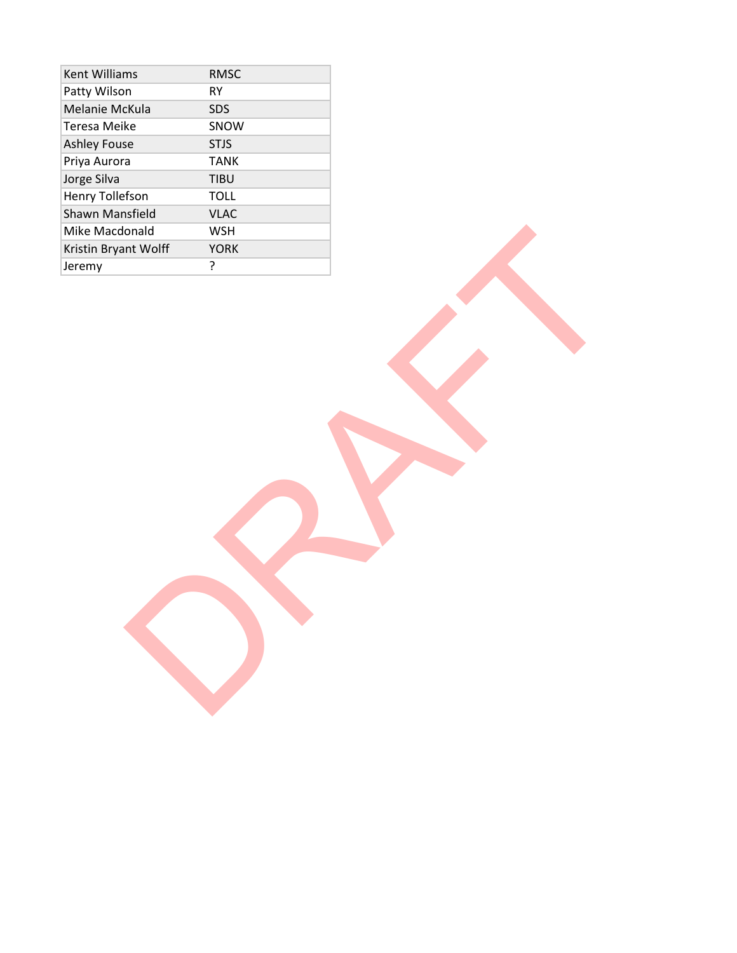| Kent Williams        | RMSC        |  |
|----------------------|-------------|--|
| Patty Wilson         | <b>RY</b>   |  |
| Melanie McKula       | $SDS$       |  |
| Teresa Meike         | SNOW        |  |
| <b>Ashley Fouse</b>  | <b>STJS</b> |  |
| Priya Aurora         | <b>TANK</b> |  |
| Jorge Silva          | TIBU        |  |
| Henry Tollefson      | <b>TOLL</b> |  |
| Shawn Mansfield      | <b>VLAC</b> |  |
| Mike Macdonald       | <b>WSH</b>  |  |
| Kristin Bryant Wolff | <b>YORK</b> |  |
| Jeremy               | ?           |  |
|                      |             |  |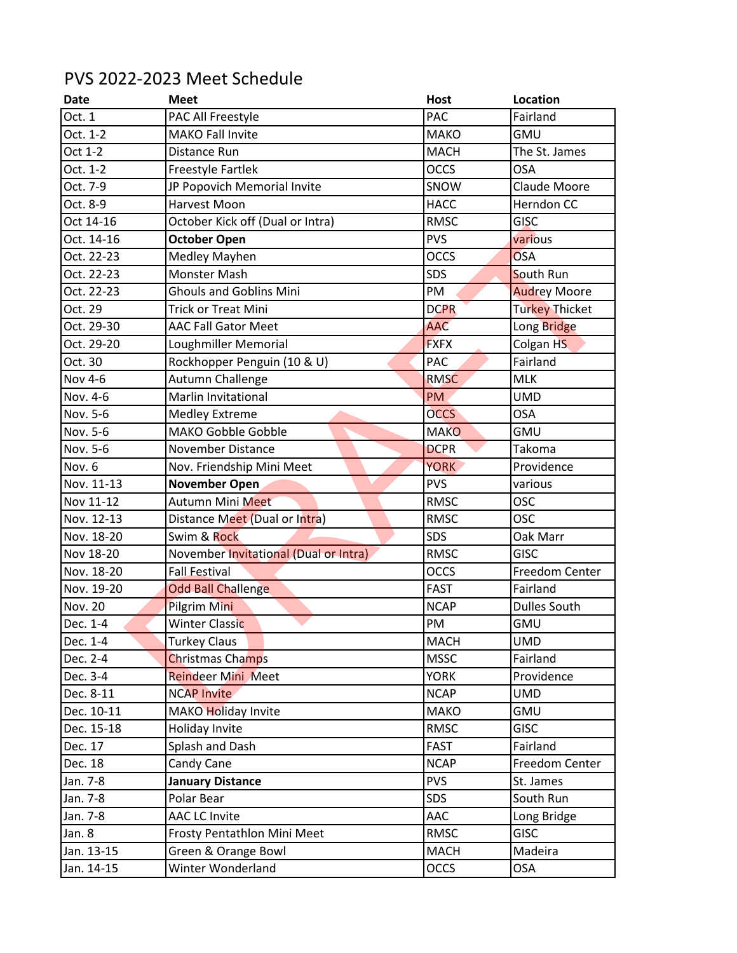| <b>Date</b>    | <b>Meet</b>                           | <b>Host</b> | Location              |
|----------------|---------------------------------------|-------------|-----------------------|
| Oct. $1$       | PAC All Freestyle                     | PAC         | Fairland              |
| Oct. 1-2       | <b>MAKO Fall Invite</b>               | <b>MAKO</b> | GMU                   |
| Oct 1-2        | Distance Run                          | <b>MACH</b> | The St. James         |
| Oct. 1-2       | Freestyle Fartlek                     | <b>OCCS</b> | <b>OSA</b>            |
| Oct. 7-9       | JP Popovich Memorial Invite           | SNOW        | Claude Moore          |
| Oct. 8-9       | Harvest Moon                          | <b>HACC</b> | <b>Herndon CC</b>     |
| Oct 14-16      | October Kick off (Dual or Intra)      | <b>RMSC</b> | GISC                  |
| Oct. 14-16     | <b>October Open</b>                   | <b>PVS</b>  | various               |
| Oct. 22-23     | Medley Mayhen                         | <b>OCCS</b> | <b>OSA</b>            |
| Oct. 22-23     | <b>Monster Mash</b>                   | SDS         | South Run             |
| Oct. 22-23     | <b>Ghouls and Goblins Mini</b>        | PM          | <b>Audrey Moore</b>   |
| Oct. 29        | <b>Trick or Treat Mini</b>            | <b>DCPR</b> | <b>Turkey Thicket</b> |
| Oct. 29-30     | <b>AAC Fall Gator Meet</b>            | AAC         | Long Bridge           |
| Oct. 29-20     | Loughmiller Memorial                  | <b>FXFX</b> | Colgan HS             |
| Oct. 30        | Rockhopper Penguin (10 & U)           | PAC         | Fairland              |
| <b>Nov 4-6</b> | Autumn Challenge                      | <b>RMSC</b> | <b>MLK</b>            |
| Nov. 4-6       | Marlin Invitational                   | <b>PM</b>   | <b>UMD</b>            |
| Nov. 5-6       | <b>Medley Extreme</b>                 | <b>OCCS</b> | <b>OSA</b>            |
| Nov. 5-6       | <b>MAKO Gobble Gobble</b>             | <b>MAKO</b> | GMU                   |
| Nov. 5-6       | <b>November Distance</b>              | <b>DCPR</b> | Takoma                |
| Nov. 6         | Nov. Friendship Mini Meet             | <b>YORK</b> | Providence            |
| Nov. 11-13     | <b>November Open</b>                  | <b>PVS</b>  | various               |
| Nov 11-12      | Autumn Mini Meet                      | <b>RMSC</b> | <b>OSC</b>            |
| Nov. 12-13     | Distance Meet (Dual or Intra)         | <b>RMSC</b> | <b>OSC</b>            |
| Nov. 18-20     | Swim & Rock                           | SDS         | Oak Marr              |
| Nov 18-20      | November Invitational (Dual or Intra) | <b>RMSC</b> | GISC                  |
| Nov. 18-20     | <b>Fall Festival</b>                  | <b>OCCS</b> | Freedom Center        |
| Nov. 19-20     | <b>Odd Ball Challenge</b>             | <b>FAST</b> | Fairland              |
| Nov. 20        | Pilgrim Mini                          | <b>NCAP</b> | <b>Dulles South</b>   |
| Dec. 1-4       | <b>Winter Classic</b>                 | PM          | <b>GMU</b>            |
| Dec. 1-4       | <b>Turkey Claus</b>                   | <b>MACH</b> | <b>UMD</b>            |
| Dec. 2-4       | Christmas Champs                      | <b>MSSC</b> | Fairland              |
| Dec. 3-4       | <b>Reindeer Mini Meet</b>             | <b>YORK</b> | Providence            |
| Dec. 8-11      | <b>NCAP Invite</b>                    | <b>NCAP</b> | <b>UMD</b>            |
| Dec. 10-11     | MAKO Holiday Invite                   | <b>MAKO</b> | GMU                   |
| Dec. 15-18     | Holiday Invite                        | <b>RMSC</b> | <b>GISC</b>           |
| Dec. 17        | Splash and Dash                       | <b>FAST</b> | Fairland              |
| Dec. 18        | Candy Cane                            | <b>NCAP</b> | Freedom Center        |
| Jan. 7-8       | <b>January Distance</b>               | <b>PVS</b>  | St. James             |
| Jan. 7-8       | Polar Bear                            | SDS         | South Run             |
| Jan. 7-8       | <b>AAC LC Invite</b>                  | AAC         | Long Bridge           |
| Jan. 8         | Frosty Pentathlon Mini Meet           | <b>RMSC</b> | GISC                  |
| Jan. 13-15     | Green & Orange Bowl                   | <b>MACH</b> | Madeira               |
| Jan. 14-15     | Winter Wonderland                     | <b>OCCS</b> | <b>OSA</b>            |

## PVS 2022-2023 Meet Schedule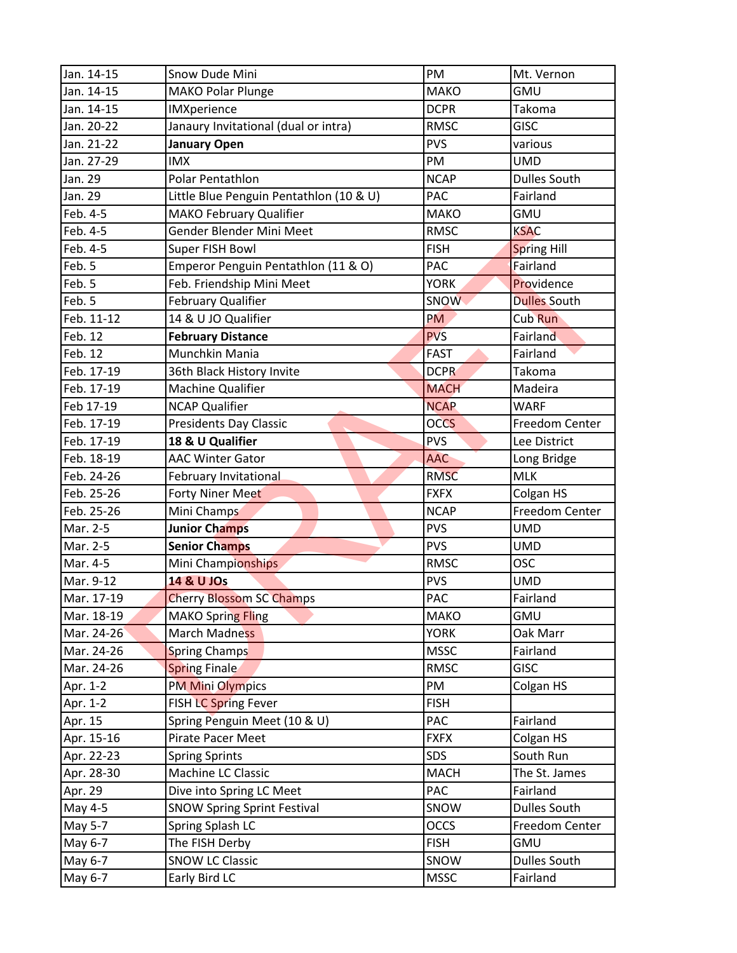| Jan. 14-15 | Snow Dude Mini                          | PM          | Mt. Vernon          |
|------------|-----------------------------------------|-------------|---------------------|
| Jan. 14-15 | <b>MAKO Polar Plunge</b>                | <b>MAKO</b> | GMU                 |
| Jan. 14-15 | <b>IMXperience</b>                      | <b>DCPR</b> | Takoma              |
| Jan. 20-22 | Janaury Invitational (dual or intra)    | <b>RMSC</b> | <b>GISC</b>         |
| Jan. 21-22 | <b>January Open</b>                     | <b>PVS</b>  | various             |
| Jan. 27-29 | <b>IMX</b>                              | PM          | UMD                 |
| Jan. 29    | Polar Pentathlon                        | <b>NCAP</b> | <b>Dulles South</b> |
| Jan. 29    | Little Blue Penguin Pentathlon (10 & U) | <b>PAC</b>  | Fairland            |
| Feb. 4-5   | <b>MAKO February Qualifier</b>          | <b>MAKO</b> | GMU                 |
| Feb. 4-5   | Gender Blender Mini Meet                | <b>RMSC</b> | <b>KSAC</b>         |
| Feb. 4-5   | Super FISH Bowl                         | <b>FISH</b> | <b>Spring Hill</b>  |
| Feb. 5     | Emperor Penguin Pentathlon (11 & O)     | <b>PAC</b>  | Fairland            |
| Feb. 5     | Feb. Friendship Mini Meet               | <b>YORK</b> | Providence          |
| Feb. 5     | <b>February Qualifier</b>               | SNOW        | <b>Dulles South</b> |
| Feb. 11-12 | 14 & U JO Qualifier                     | <b>PM</b>   | Cub Run             |
| Feb. 12    | <b>February Distance</b>                | <b>PVS</b>  | Fairland            |
| Feb. 12    | Munchkin Mania                          | <b>FAST</b> | Fairland            |
| Feb. 17-19 | 36th Black History Invite               | <b>DCPR</b> | Takoma              |
| Feb. 17-19 | <b>Machine Qualifier</b>                | <b>MACH</b> | Madeira             |
| Feb 17-19  | <b>NCAP Qualifier</b>                   | <b>NCAP</b> | <b>WARF</b>         |
| Feb. 17-19 | <b>Presidents Day Classic</b>           | <b>OCCS</b> | Freedom Center      |
| Feb. 17-19 | 18 & U Qualifier                        | <b>PVS</b>  | Lee District        |
| Feb. 18-19 | <b>AAC Winter Gator</b>                 | <b>AAC</b>  | Long Bridge         |
| Feb. 24-26 | February Invitational                   | <b>RMSC</b> | <b>MLK</b>          |
| Feb. 25-26 | Forty Niner Meet                        | <b>FXFX</b> | Colgan HS           |
| Feb. 25-26 | Mini Champs                             | <b>NCAP</b> | Freedom Center      |
| Mar. 2-5   | <b>Junior Champs</b>                    | <b>PVS</b>  | <b>UMD</b>          |
| Mar. 2-5   | <b>Senior Champs</b>                    | <b>PVS</b>  | <b>UMD</b>          |
| Mar. 4-5   | Mini Championships                      | <b>RMSC</b> | <b>OSC</b>          |
| Mar. 9-12  | 14 & U JOs                              | <b>PVS</b>  | <b>UMD</b>          |
| Mar. 17-19 | <b>Cherry Blossom SC Champs</b>         | <b>PAC</b>  | Fairland            |
| Mar. 18-19 | <b>MAKO Spring Fling</b>                | <b>MAKO</b> | GMU                 |
| Mar. 24-26 | March Madness                           | <b>YORK</b> | Oak Marr            |
| Mar. 24-26 | <b>Spring Champs</b>                    | <b>MSSC</b> | Fairland            |
| Mar. 24-26 | <b>Spring Finale</b>                    | <b>RMSC</b> | <b>GISC</b>         |
| Apr. 1-2   | <b>PM Mini Olympics</b>                 | PM          | Colgan HS           |
| Apr. 1-2   | FISH LC Spring Fever                    | <b>FISH</b> |                     |
| Apr. 15    | Spring Penguin Meet (10 & U)            | PAC         | Fairland            |
| Apr. 15-16 | Pirate Pacer Meet                       | <b>FXFX</b> | Colgan HS           |
| Apr. 22-23 | <b>Spring Sprints</b>                   | SDS         | South Run           |
| Apr. 28-30 | Machine LC Classic                      | <b>MACH</b> | The St. James       |
| Apr. 29    | Dive into Spring LC Meet                | <b>PAC</b>  | Fairland            |
| May 4-5    | <b>SNOW Spring Sprint Festival</b>      | SNOW        | <b>Dulles South</b> |
| May 5-7    | Spring Splash LC                        | <b>OCCS</b> | Freedom Center      |
| May 6-7    | The FISH Derby                          | <b>FISH</b> | GMU                 |
| May 6-7    | <b>SNOW LC Classic</b>                  | SNOW        | <b>Dulles South</b> |
| May 6-7    | Early Bird LC                           | <b>MSSC</b> | Fairland            |